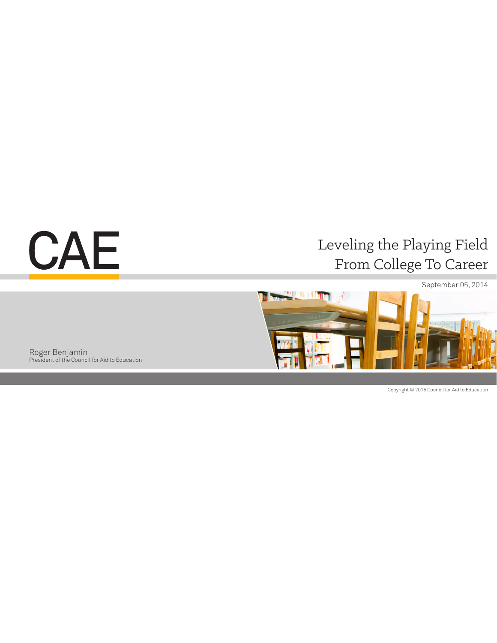# CAE

# Leveling the Playing Field From College To Career



Roger Benjamin President of the Council for Aid to Education

Copyright © 2015 Council for Aid to Education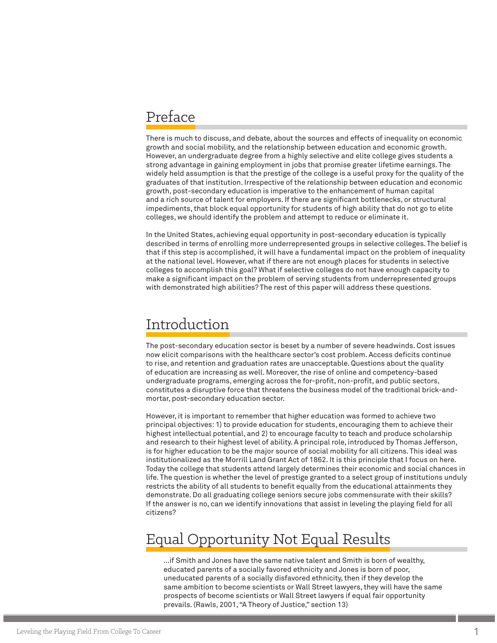### Preface

There is much to discuss, and debate, about the sources and effects of inequality on economic growth and social mobility, and the relationship between education and economic growth. However, an undergraduate degree from a highly selective and elite college gives students a strong advantage in gaining employment in jobs that promise greater lifetime earnings. The widely held assumption is that the prestige of the college is a useful proxy for the quality of the graduates of that institution. Irrespective of the relationship between education and economic growth, post-secondary education is imperative to the enhancement of human capital and a rich source of talent for employers. If there are significant bottlenecks, or structural impediments, that block equal opportunity for students of high ability that do not go to elite colleges, we should identify the problem and attempt to reduce or eliminate it.

In the United States, achieving equal opportunity in post-secondary education is typically described in terms of enrolling more underrepresented groups in selective colleges. The belief is that if this step is accomplished, it will have a fundamental impact on the problem of inequality at the national level. However, what if there are not enough places for students in selective colleges to accomplish this goal? What if selective colleges do not have enough capacity to make a significant impact on the problem of serving students from underrepresented groups with demonstrated high abilities? The rest of this paper will address these questions.

### Introduction

The post-secondary education sector is beset by a number of severe headwinds. Cost issues now elicit comparisons with the healthcare sector's cost problem. Access deficits continue to rise, and retention and graduation rates are unacceptable. Questions about the quality of education are increasing as well. Moreover, the rise of online and competency-based undergraduate programs, emerging across the for-profit, non-profit, and public sectors, constitutes a disruptive force that threatens the business model of the traditional brick-andmortar, post-secondary education sector.

However, it is important to remember that higher education was formed to achieve two principal objectives: 1) to provide education for students, encouraging them to achieve their highest intellectual potential, and 2) to encourage faculty to teach and produce scholarship and research to their highest level of ability. A principal role, introduced by Thomas Jefferson, is for higher education to be the major source of social mobility for all citizens. This ideal was institutionalized as the Morrill Land Grant Act of 1862. It is this principle that I focus on here. Today the college that students attend largely determines their economic and social chances in life. The question is whether the level of prestige granted to a select group of institutions unduly restricts the ability of all students to benefit equally from the educational attainments they demonstrate. Do all graduating college seniors secure jobs commensurate with their skills? If the answer is no, can we identify innovations that assist in leveling the playing field for all citizens?

### Equal Opportunity Not Equal Results

…if Smith and Jones have the same native talent and Smith is born of wealthy, educated parents of a socially favored ethnicity and Jones is born of poor, uneducated parents of a socially disfavored ethnicity, then if they develop the same ambition to become scientists or Wall Street lawyers, they will have the same prospects of become scientists or Wall Street lawyers if equal fair opportunity prevails. (Rawls, 2001, "A Theory of Justice," section 13)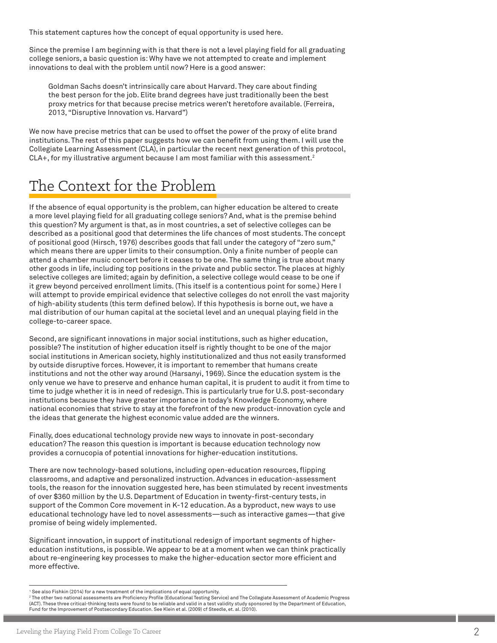This statement captures how the concept of equal opportunity is used here.

Since the premise I am beginning with is that there is not a level playing field for all graduating college seniors, a basic question is: Why have we not attempted to create and implement innovations to deal with the problem until now? Here is a good answer:

Goldman Sachs doesn't intrinsically care about Harvard. They care about finding the best person for the job. Elite brand degrees have just traditionally been the best proxy metrics for that because precise metrics weren't heretofore available. (Ferreira, 2013, "Disruptive Innovation vs. Harvard")

We now have precise metrics that can be used to offset the power of the proxy of elite brand institutions. The rest of this paper suggests how we can benefit from using them. I will use the Collegiate Learning Assessment (CLA), in particular the recent next generation of this protocol, CLA+, for my illustrative argument because I am most familiar with this assessment.<sup>2</sup>

## The Context for the Problem

If the absence of equal opportunity is the problem, can higher education be altered to create a more level playing field for all graduating college seniors? And, what is the premise behind this question? My argument is that, as in most countries, a set of selective colleges can be described as a positional good that determines the life chances of most students. The concept of positional good (Hirsch, 1976) describes goods that fall under the category of "zero sum," which means there are upper limits to their consumption. Only a finite number of people can attend a chamber music concert before it ceases to be one. The same thing is true about many other goods in life, including top positions in the private and public sector. The places at highly selective colleges are limited; again by definition, a selective college would cease to be one if it grew beyond perceived enrollment limits. (This itself is a contentious point for some.) Here I will attempt to provide empirical evidence that selective colleges do not enroll the vast majority of high-ability students (this term defined below). If this hypothesis is borne out, we have a mal distribution of our human capital at the societal level and an unequal playing field in the college-to-career space.

Second, are significant innovations in major social institutions, such as higher education, possible? The institution of higher education itself is rightly thought to be one of the major social institutions in American society, highly institutionalized and thus not easily transformed by outside disruptive forces. However, it is important to remember that humans create institutions and not the other way around (Harsanyi, 1969). Since the education system is the only venue we have to preserve and enhance human capital, it is prudent to audit it from time to time to judge whether it is in need of redesign. This is particularly true for U.S. post-secondary institutions because they have greater importance in today's Knowledge Economy, where national economies that strive to stay at the forefront of the new product-innovation cycle and the ideas that generate the highest economic value added are the winners.

Finally, does educational technology provide new ways to innovate in post-secondary education? The reason this question is important is because education technology now provides a cornucopia of potential innovations for higher-education institutions.

There are now technology-based solutions, including open-education resources, flipping classrooms, and adaptive and personalized instruction. Advances in education-assessment tools, the reason for the innovation suggested here, has been stimulated by recent investments of over \$360 million by the U.S. Department of Education in twenty-first-century tests, in support of the Common Core movement in K-12 education. As a byproduct, new ways to use educational technology have led to novel assessments—such as interactive games—that give promise of being widely implemented.

Significant innovation, in support of institutional redesign of important segments of highereducation institutions, is possible. We appear to be at a moment when we can think practically about re-engineering key processes to make the higher-education sector more efficient and more effective.

<sup>1</sup> See also Fishkin (2014) for a new treatment of the implications of equal opportunity.

<sup>2</sup> The other two national assessments are Proficiency Profile (Educational Testing Service) and The Collegiate Assessment of Academic Progress (ACT). These three critical-thinking tests were found to be reliable and valid in a test validity study sponsored by the Department of Education, Fund for the Improvement of Postsecondary Education. See Klein et al. (2009) cf Steedle, et. al. (2010).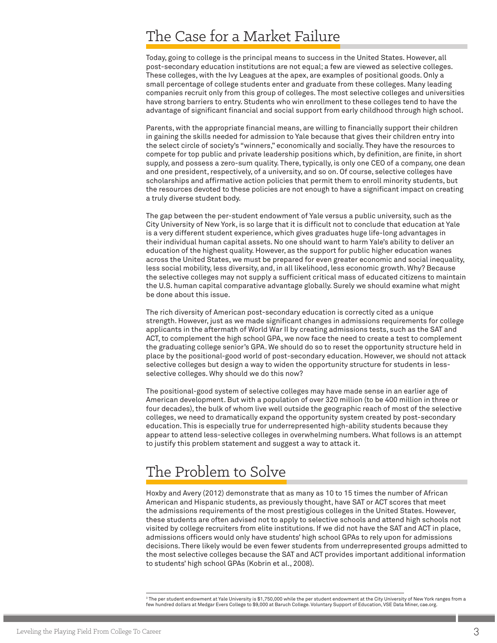### The Case for a Market Failure

Today, going to college is the principal means to success in the United States. However, all post-secondary education institutions are not equal; a few are viewed as selective colleges. These colleges, with the Ivy Leagues at the apex, are examples of positional goods. Only a small percentage of college students enter and graduate from these colleges. Many leading companies recruit only from this group of colleges. The most selective colleges and universities have strong barriers to entry. Students who win enrollment to these colleges tend to have the advantage of significant financial and social support from early childhood through high school.

Parents, with the appropriate financial means, are willing to financially support their children in gaining the skills needed for admission to Yale because that gives their children entry into the select circle of society's "winners," economically and socially. They have the resources to compete for top public and private leadership positions which, by definition, are finite, in short supply, and possess a zero-sum quality. There, typically, is only one CEO of a company, one dean and one president, respectively, of a university, and so on. Of course, selective colleges have scholarships and affirmative action policies that permit them to enroll minority students, but the resources devoted to these policies are not enough to have a significant impact on creating a truly diverse student body.

The gap between the per-student endowment of Yale versus a public university, such as the City University of New York, is so large that it is difficult not to conclude that education at Yale is a very different student experience, which gives graduates huge life-long advantages in their individual human capital assets. No one should want to harm Yale's ability to deliver an education of the highest quality. However, as the support for public higher education wanes across the United States, we must be prepared for even greater economic and social inequality, less social mobility, less diversity, and, in all likelihood, less economic growth. Why? Because the selective colleges may not supply a sufficient critical mass of educated citizens to maintain the U.S. human capital comparative advantage globally. Surely we should examine what might be done about this issue.

The rich diversity of American post-secondary education is correctly cited as a unique strength. However, just as we made significant changes in admissions requirements for college applicants in the aftermath of World War II by creating admissions tests, such as the SAT and ACT, to complement the high school GPA, we now face the need to create a test to complement the graduating college senior's GPA. We should do so to reset the opportunity structure held in place by the positional-good world of post-secondary education. However, we should not attack selective colleges but design a way to widen the opportunity structure for students in lessselective colleges. Why should we do this now?

The positional-good system of selective colleges may have made sense in an earlier age of American development. But with a population of over 320 million (to be 400 million in three or four decades), the bulk of whom live well outside the geographic reach of most of the selective colleges, we need to dramatically expand the opportunity system created by post-secondary education. This is especially true for underrepresented high-ability students because they appear to attend less-selective colleges in overwhelming numbers. What follows is an attempt to justify this problem statement and suggest a way to attack it.

### The Problem to Solve

Hoxby and Avery (2012) demonstrate that as many as 10 to 15 times the number of African American and Hispanic students, as previously thought, have SAT or ACT scores that meet the admissions requirements of the most prestigious colleges in the United States. However, these students are often advised not to apply to selective schools and attend high schools not visited by college recruiters from elite institutions. If we did not have the SAT and ACT in place, admissions officers would only have students' high school GPAs to rely upon for admissions decisions. There likely would be even fewer students from underrepresented groups admitted to the most selective colleges because the SAT and ACT provides important additional information to students' high school GPAs (Kobrin et al., 2008).

 $^{\rm 3}$ The per student endowment at Yale University is \$1,750,000 while the per student endowment at the City University of New York ranges from a few hundred dollars at Medgar Evers College to \$9,000 at Baruch College. Voluntary Support of Education, VSE Data Miner, cae.org.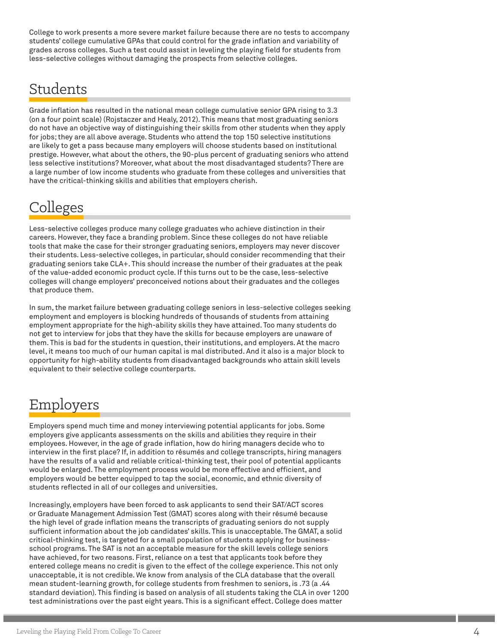College to work presents a more severe market failure because there are no tests to accompany students' college cumulative GPAs that could control for the grade inflation and variability of grades across colleges. Such a test could assist in leveling the playing field for students from less-selective colleges without damaging the prospects from selective colleges.

### Students

Grade inflation has resulted in the national mean college cumulative senior GPA rising to 3.3 (on a four point scale) (Rojstaczer and Healy, 2012). This means that most graduating seniors do not have an objective way of distinguishing their skills from other students when they apply for jobs; they are all above average. Students who attend the top 150 selective institutions are likely to get a pass because many employers will choose students based on institutional prestige. However, what about the others, the 90-plus percent of graduating seniors who attend less selective institutions? Moreover, what about the most disadvantaged students? There are a large number of low income students who graduate from these colleges and universities that have the critical-thinking skills and abilities that employers cherish.

### Colleges

Less-selective colleges produce many college graduates who achieve distinction in their careers. However, they face a branding problem. Since these colleges do not have reliable tools that make the case for their stronger graduating seniors, employers may never discover their students. Less-selective colleges, in particular, should consider recommending that their graduating seniors take CLA+. This should increase the number of their graduates at the peak of the value-added economic product cycle. If this turns out to be the case, less-selective colleges will change employers' preconceived notions about their graduates and the colleges that produce them.

In sum, the market failure between graduating college seniors in less-selective colleges seeking employment and employers is blocking hundreds of thousands of students from attaining employment appropriate for the high-ability skills they have attained. Too many students do not get to interview for jobs that they have the skills for because employers are unaware of them. This is bad for the students in question, their institutions, and employers. At the macro level, it means too much of our human capital is mal distributed. And it also is a major block to opportunity for high-ability students from disadvantaged backgrounds who attain skill levels equivalent to their selective college counterparts.

### Employers

Employers spend much time and money interviewing potential applicants for jobs. Some employers give applicants assessments on the skills and abilities they require in their employees. However, in the age of grade inflation, how do hiring managers decide who to interview in the first place? If, in addition to résumés and college transcripts, hiring managers have the results of a valid and reliable critical-thinking test, their pool of potential applicants would be enlarged. The employment process would be more effective and efficient, and employers would be better equipped to tap the social, economic, and ethnic diversity of students reflected in all of our colleges and universities.

Increasingly, employers have been forced to ask applicants to send their SAT/ACT scores or Graduate Management Admission Test (GMAT) scores along with their résumé because the high level of grade inflation means the transcripts of graduating seniors do not supply sufficient information about the job candidates' skills. This is unacceptable. The GMAT, a solid critical-thinking test, is targeted for a small population of students applying for businessschool programs. The SAT is not an acceptable measure for the skill levels college seniors have achieved, for two reasons. First, reliance on a test that applicants took before they entered college means no credit is given to the effect of the college experience. This not only unacceptable, it is not credible. We know from analysis of the CLA database that the overall mean student-learning growth, for college students from freshmen to seniors, is .73 (a .44 standard deviation). This finding is based on analysis of all students taking the CLA in over 1200 test administrations over the past eight years. This is a significant effect. College does matter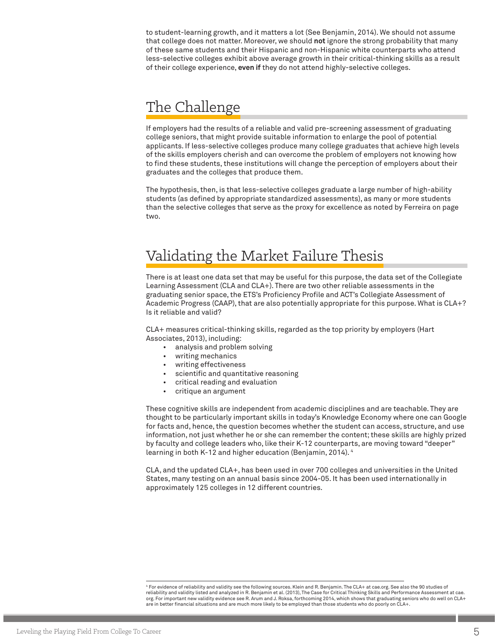to student-learning growth, and it matters a lot (See Benjamin, 2014). We should not assume that college does not matter. Moreover, we should **not** ignore the strong probability that many of these same students and their Hispanic and non-Hispanic white counterparts who attend less-selective colleges exhibit above average growth in their critical-thinking skills as a result of their college experience, **even if** they do not attend highly-selective colleges.

### The Challenge

If employers had the results of a reliable and valid pre-screening assessment of graduating college seniors, that might provide suitable information to enlarge the pool of potential applicants. If less-selective colleges produce many college graduates that achieve high levels of the skills employers cherish and can overcome the problem of employers not knowing how to find these students, these institutions will change the perception of employers about their graduates and the colleges that produce them.

The hypothesis, then, is that less-selective colleges graduate a large number of high-ability students (as defined by appropriate standardized assessments), as many or more students than the selective colleges that serve as the proxy for excellence as noted by Ferreira on page two.

### Validating the Market Failure Thesis

There is at least one data set that may be useful for this purpose, the data set of the Collegiate Learning Assessment (CLA and CLA+). There are two other reliable assessments in the graduating senior space, the ETS's Proficiency Profile and ACT's Collegiate Assessment of Academic Progress (CAAP), that are also potentially appropriate for this purpose. What is CLA+? Is it reliable and valid?

CLA+ measures critical-thinking skills, regarded as the top priority by employers (Hart Associates, 2013), including:

- analysis and problem solving
- writing mechanics
- writing effectiveness
- scientific and quantitative reasoning
- critical reading and evaluation
- critique an argument

These cognitive skills are independent from academic disciplines and are teachable. They are thought to be particularly important skills in today's Knowledge Economy where one can Google for facts and, hence, the question becomes whether the student can access, structure, and use information, not just whether he or she can remember the content; these skills are highly prized by faculty and college leaders who, like their K-12 counterparts, are moving toward "deeper" learning in both K-12 and higher education (Benjamin, 2014). 4

CLA, and the updated CLA+, has been used in over 700 colleges and universities in the United States, many testing on an annual basis since 2004-05. It has been used internationally in approximately 125 colleges in 12 different countries.

4 For evidence of reliability and validity see the following sources. Klein and R. Benjamin. The CLA+ at cae.org. See also the 90 studies of reliability and validity listed and analyzed in R. Benjamin et al. (2013), The Case for Critical Thinking Skills and Performance Assessment at cae. org. For important new validity evidence see R. Arum and J. Roksa, forthcoming 2014, which shows that graduating seniors who do well on CLA+ are in better financial situations and are much more likely to be employed than those students who do poorly on CLA+.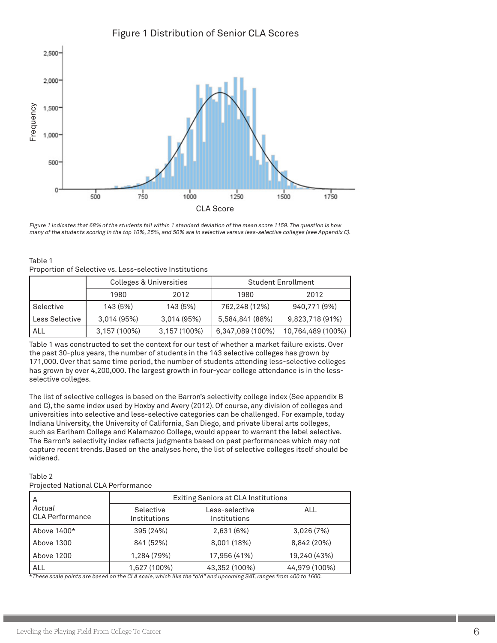### Figure 1 Distribution of Senior CLA Scores



Figure 1 indicates that 68% of the students fall within 1 standard deviation of the mean score 1159. The question is how many of the students scoring in the top 10%, 25%, and 50% are in selective versus less-selective colleges (see Appendix C).

| Table 1                                                 |
|---------------------------------------------------------|
| Proportion of Selective vs. Less-selective Institutions |

|                | Colleges & Universities |              | <b>Student Enrollment</b> |                   |  |
|----------------|-------------------------|--------------|---------------------------|-------------------|--|
|                | 1980                    | 2012         | 1980                      | 2012              |  |
| Selective      | 143 (5%)                | 143 (5%)     | 762,248 (12%)             | 940,771 (9%)      |  |
| Less Selective | 3,014(95%)              | 3,014(95%)   | 5,584,841 (88%)           | 9,823,718 (91%)   |  |
| ALL            | 3,157 (100%)            | 3,157 (100%) | 6,347,089 (100%)          | 10,764,489 (100%) |  |

Table 1 was constructed to set the context for our test of whether a market failure exists. Over the past 30-plus years, the number of students in the 143 selective colleges has grown by 171,000. Over that same time period, the number of students attending less-selective colleges has grown by over 4,200,000. The largest growth in four-year college attendance is in the lessselective colleges.

The list of selective colleges is based on the Barron's selectivity college index (See appendix B and C), the same index used by Hoxby and Avery (2012). Of course, any division of colleges and universities into selective and less-selective categories can be challenged. For example, today Indiana University, the University of California, San Diego, and private liberal arts colleges, such as Earlham College and Kalamazoo College, would appear to warrant the label selective. The Barron's selectivity index reflects judgments based on past performances which may not capture recent trends. Based on the analyses here, the list of selective colleges itself should be widened.

### Table 2

Projected National CLA Performance

| А                                | Exiting Seniors at CLA Institutions                         |               |               |  |
|----------------------------------|-------------------------------------------------------------|---------------|---------------|--|
| Actual<br><b>CLA Performance</b> | Less-selective<br>Selective<br>Institutions<br>Institutions |               | ALL           |  |
| Above 1400*                      | 395 (24%)                                                   | 2,631 (6%)    | 3,026(7%)     |  |
| Above 1300                       | 841 (52%)                                                   | 8,001 (18%)   | 8,842 (20%)   |  |
| Above 1200                       | 1,284 (79%)                                                 | 17,956 (41%)  | 19,240 (43%)  |  |
| <b>ALL</b>                       | 1,627 (100%)                                                | 43,352 (100%) | 44,979 (100%) |  |

\*These scale points are based on the CLA scale, which like the "old" and upcoming SAT, ranges from 400 to 1600.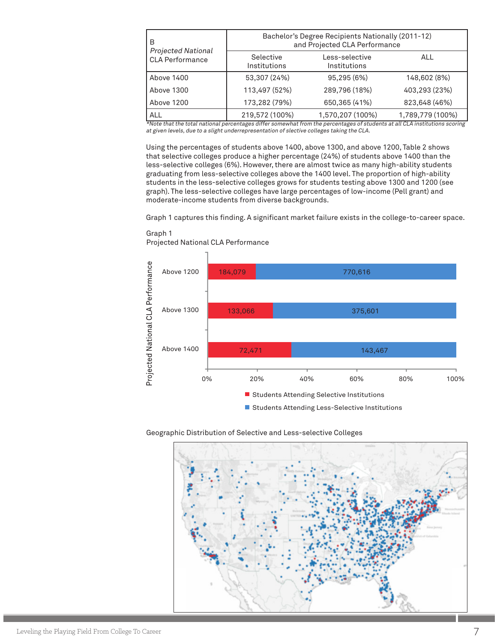| В                                                   | Bachelor's Degree Recipients Nationally (2011-12)<br>and Projected CLA Performance |                  |                  |  |
|-----------------------------------------------------|------------------------------------------------------------------------------------|------------------|------------------|--|
| <b>Projected National</b><br><b>CLA Performance</b> | Selective<br>Less-selective<br>Institutions<br>Institutions                        |                  | ALL              |  |
| Above 1400                                          | 53,307 (24%)                                                                       | 95,295 (6%)      | 148,602 (8%)     |  |
| Above 1300                                          | 113,497 (52%)                                                                      | 289,796 (18%)    | 403,293 (23%)    |  |
| Above 1200                                          | 173,282 (79%)                                                                      | 650,365 (41%)    | 823,648 (46%)    |  |
| <b>ALL</b>                                          | 219,572 (100%)                                                                     | 1,570,207 (100%) | 1,789,779 (100%) |  |

at given levels, due to a slight underrepresentation of slective colleges taking the CLA.

Using the percentages of students above 1400, above 1300, and above 1200, Table 2 shows that selective colleges produce a higher percentage (24%) of students above 1400 than the less-selective colleges (6%). However, there are almost twice as many high-ability students graduating from less-selective colleges above the 1400 level. The proportion of high-ability students in the less-selective colleges grows for students testing above 1300 and 1200 (see graph). The less-selective colleges have large percentages of low-income (Pell grant) and moderate-income students from diverse backgrounds.

Graph 1 captures this finding. A significant market failure exists in the college-to-career space.



Graph 1 Projected National CLA Performance

#### Geographic Distribution of Selective and Less-selective Colleges

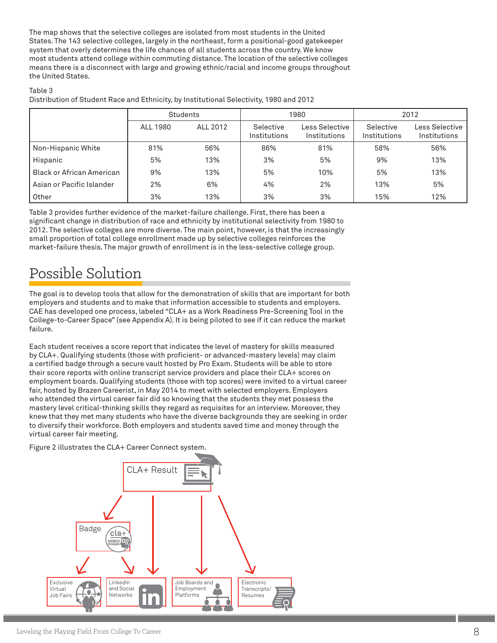The map shows that the selective colleges are isolated from most students in the United States. The 143 selective colleges, largely in the northeast, form a positional-good gatekeeper system that overly determines the life chances of all students across the country. We know most students attend college within commuting distance. The location of the selective colleges means there is a disconnect with large and growing ethnic/racial and income groups throughout the United States.

#### Table 3

Distribution of Student Race and Ethnicity, by Institutional Selectivity, 1980 and 2012

|                                  | Students |          | 1980                      |                                | 2012                      |                                |
|----------------------------------|----------|----------|---------------------------|--------------------------------|---------------------------|--------------------------------|
|                                  | ALL 1980 | ALL 2012 | Selective<br>Institutions | Less Selective<br>Institutions | Selective<br>Institutions | Less Selective<br>Institutions |
| Non-Hispanic White               | 81%      | 56%      | 86%                       | 81%                            | 58%                       | 56%                            |
| Hispanic                         | 5%       | 13%      | 3%                        | 5%                             | 9%                        | 13%                            |
| <b>Black or African American</b> | 9%       | 13%      | 5%                        | 10%                            | 5%                        | 13%                            |
| Asian or Pacific Islander        | 2%       | 6%       | 4%                        | 2%                             | 13%                       | 5%                             |
| Other                            | 3%       | 13%      | 3%                        | 3%                             | 15%                       | 12%                            |

Table 3 provides further evidence of the market-failure challenge. First, there has been a significant change in distribution of race and ethnicity by institutional selectivity from 1980 to 2012. The selective colleges are more diverse. The main point, however, is that the increasingly small proportion of total college enrollment made up by selective colleges reinforces the market-failure thesis. The major growth of enrollment is in the less-selective college group.

## Possible Solution

The goal is to develop tools that allow for the demonstration of skills that are important for both employers and students and to make that information accessible to students and employers. CAE has developed one process, labeled "CLA+ as a Work Readiness Pre-Screening Tool in the College-to-Career Space" (see Appendix A). It is being piloted to see if it can reduce the market failure.

Each student receives a score report that indicates the level of mastery for skills measured by CLA+. Qualifying students (those with proficient- or advanced-mastery levels) may claim a certified badge through a secure vault hosted by Pro Exam. Students will be able to store their score reports with online transcript service providers and place their CLA+ scores on employment boards. Qualifying students (those with top scores) were invited to a virtual career fair, hosted by Brazen Careerist, in May 2014 to meet with selected employers. Employers who attended the virtual career fair did so knowing that the students they met possess the mastery level critical-thinking skills they regard as requisites for an interview. Moreover, they knew that they met many students who have the diverse backgrounds they are seeking in order to diversify their workforce. Both employers and students saved time and money through the virtual career fair meeting.

Figure 2 illustrates the CLA+ Career Connect system.

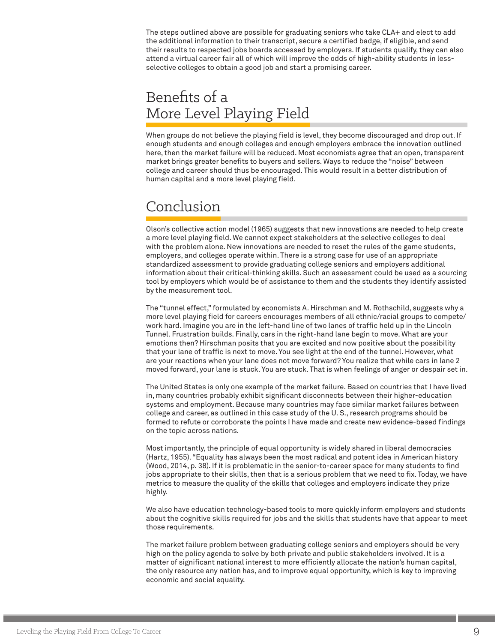The steps outlined above are possible for graduating seniors who take CLA+ and elect to add the additional information to their transcript, secure a certified badge, if eligible, and send their results to respected jobs boards accessed by employers. If students qualify, they can also attend a virtual career fair all of which will improve the odds of high-ability students in lessselective colleges to obtain a good job and start a promising career.

### Benefits of a More Level Playing Field

When groups do not believe the playing field is level, they become discouraged and drop out. If enough students and enough colleges and enough employers embrace the innovation outlined here, then the market failure will be reduced. Most economists agree that an open, transparent market brings greater benefits to buyers and sellers. Ways to reduce the "noise" between college and career should thus be encouraged. This would result in a better distribution of human capital and a more level playing field.

### Conclusion

Olson's collective action model (1965) suggests that new innovations are needed to help create a more level playing field. We cannot expect stakeholders at the selective colleges to deal with the problem alone. New innovations are needed to reset the rules of the game students, employers, and colleges operate within. There is a strong case for use of an appropriate standardized assessment to provide graduating college seniors and employers additional information about their critical-thinking skills. Such an assessment could be used as a sourcing tool by employers which would be of assistance to them and the students they identify assisted by the measurement tool.

The "tunnel effect," formulated by economists A. Hirschman and M. Rothschild, suggests why a more level playing field for careers encourages members of all ethnic/racial groups to compete/ work hard. Imagine you are in the left-hand line of two lanes of traffic held up in the Lincoln Tunnel. Frustration builds. Finally, cars in the right-hand lane begin to move. What are your emotions then? Hirschman posits that you are excited and now positive about the possibility that your lane of traffic is next to move. You see light at the end of the tunnel. However, what are your reactions when your lane does not move forward? You realize that while cars in lane 2 moved forward, your lane is stuck. You are stuck. That is when feelings of anger or despair set in.

The United States is only one example of the market failure. Based on countries that I have lived in, many countries probably exhibit significant disconnects between their higher-education systems and employment. Because many countries may face similar market failures between college and career, as outlined in this case study of the U. S., research programs should be formed to refute or corroborate the points I have made and create new evidence-based findings on the topic across nations.

Most importantly, the principle of equal opportunity is widely shared in liberal democracies (Hartz, 1955). "Equality has always been the most radical and potent idea in American history (Wood, 2014, p. 38). If it is problematic in the senior-to-career space for many students to find jobs appropriate to their skills, then that is a serious problem that we need to fix. Today, we have metrics to measure the quality of the skills that colleges and employers indicate they prize highly.

We also have education technology-based tools to more quickly inform employers and students about the cognitive skills required for jobs and the skills that students have that appear to meet those requirements.

The market failure problem between graduating college seniors and employers should be very high on the policy agenda to solve by both private and public stakeholders involved. It is a matter of significant national interest to more efficiently allocate the nation's human capital, the only resource any nation has, and to improve equal opportunity, which is key to improving economic and social equality.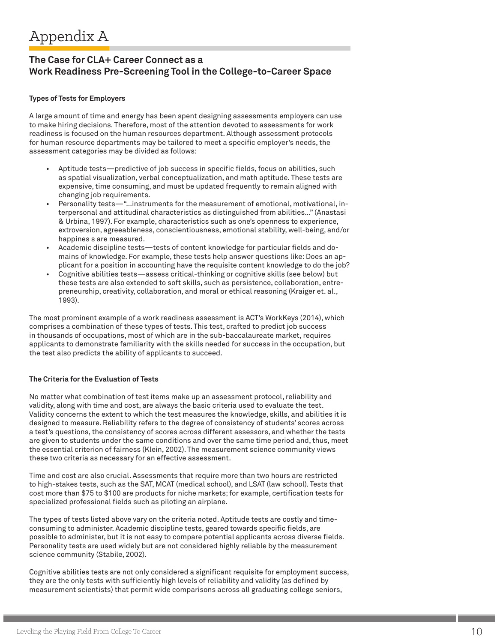### **The Case for CLA+ Career Connect as a Work Readiness Pre-Screening Tool in the College-to-Career Space**

#### **Types of Tests for Employers**

A large amount of time and energy has been spent designing assessments employers can use to make hiring decisions. Therefore, most of the attention devoted to assessments for work readiness is focused on the human resources department. Although assessment protocols for human resource departments may be tailored to meet a specific employer's needs, the assessment categories may be divided as follows:

- Aptitude tests—predictive of job success in specific fields, focus on abilities, such as spatial visualization, verbal conceptualization, and math aptitude. These tests are expensive, time consuming, and must be updated frequently to remain aligned with changing job requirements.
- Personality tests—"…instruments for the measurement of emotional, motivational, interpersonal and attitudinal characteristics as distinguished from abilities…" (Anastasi & Urbina, 1997). For example, characteristics such as one's openness to experience, extroversion, agreeableness, conscientiousness, emotional stability, well-being, and/or happines s are measured.
- Academic discipline tests—tests of content knowledge for particular fields and domains of knowledge. For example, these tests help answer questions like: Does an applicant for a position in accounting have the requisite content knowledge to do the job?
- Cognitive abilities tests—assess critical-thinking or cognitive skills (see below) but these tests are also extended to soft skills, such as persistence, collaboration, entrepreneurship, creativity, collaboration, and moral or ethical reasoning (Kraiger et. al., 1993).

The most prominent example of a work readiness assessment is ACT's WorkKeys (2014), which comprises a combination of these types of tests. This test, crafted to predict job success in thousands of occupations, most of which are in the sub-baccalaureate market, requires applicants to demonstrate familiarity with the skills needed for success in the occupation, but the test also predicts the ability of applicants to succeed.

#### **The Criteria for the Evaluation of Tests**

No matter what combination of test items make up an assessment protocol, reliability and validity, along with time and cost, are always the basic criteria used to evaluate the test. Validity concerns the extent to which the test measures the knowledge, skills, and abilities it is designed to measure. Reliability refers to the degree of consistency of students' scores across a test's questions, the consistency of scores across different assessors, and whether the tests are given to students under the same conditions and over the same time period and, thus, meet the essential criterion of fairness (Klein, 2002). The measurement science community views these two criteria as necessary for an effective assessment.

Time and cost are also crucial. Assessments that require more than two hours are restricted to high-stakes tests, such as the SAT, MCAT (medical school), and LSAT (law school). Tests that cost more than \$75 to \$100 are products for niche markets; for example, certification tests for specialized professional fields such as piloting an airplane.

The types of tests listed above vary on the criteria noted. Aptitude tests are costly and timeconsuming to administer. Academic discipline tests, geared towards specific fields, are possible to administer, but it is not easy to compare potential applicants across diverse fields. Personality tests are used widely but are not considered highly reliable by the measurement science community (Stabile, 2002).

Cognitive abilities tests are not only considered a significant requisite for employment success, they are the only tests with sufficiently high levels of reliability and validity (as defined by measurement scientists) that permit wide comparisons across all graduating college seniors,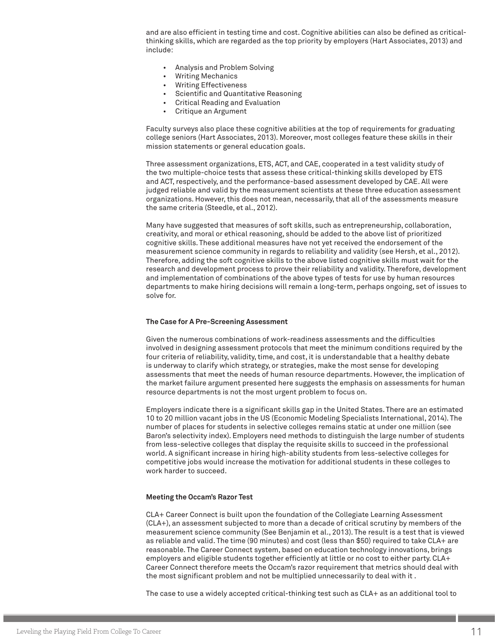and are also efficient in testing time and cost. Cognitive abilities can also be defined as criticalthinking skills, which are regarded as the top priority by employers (Hart Associates, 2013) and include:

- Analysis and Problem Solving
- Writing Mechanics
- Writing Effectiveness
- Scientific and Quantitative Reasoning
- Critical Reading and Evaluation
- Critique an Argument

Faculty surveys also place these cognitive abilities at the top of requirements for graduating college seniors (Hart Associates, 2013). Moreover, most colleges feature these skills in their mission statements or general education goals.

Three assessment organizations, ETS, ACT, and CAE, cooperated in a test validity study of the two multiple-choice tests that assess these critical-thinking skills developed by ETS and ACT, respectively, and the performance-based assessment developed by CAE. All were judged reliable and valid by the measurement scientists at these three education assessment organizations. However, this does not mean, necessarily, that all of the assessments measure the same criteria (Steedle, et al., 2012).

Many have suggested that measures of soft skills, such as entrepreneurship, collaboration, creativity, and moral or ethical reasoning, should be added to the above list of prioritized cognitive skills. These additional measures have not yet received the endorsement of the measurement science community in regards to reliability and validity (see Hersh, et al., 2012). Therefore, adding the soft cognitive skills to the above listed cognitive skills must wait for the research and development process to prove their reliability and validity. Therefore, development and implementation of combinations of the above types of tests for use by human resources departments to make hiring decisions will remain a long-term, perhaps ongoing, set of issues to solve for.

#### **The Case for A Pre-Screening Assessment**

Given the numerous combinations of work-readiness assessments and the difficulties involved in designing assessment protocols that meet the minimum conditions required by the four criteria of reliability, validity, time, and cost, it is understandable that a healthy debate is underway to clarify which strategy, or strategies, make the most sense for developing assessments that meet the needs of human resource departments. However, the implication of the market failure argument presented here suggests the emphasis on assessments for human resource departments is not the most urgent problem to focus on.

Employers indicate there is a significant skills gap in the United States. There are an estimated 10 to 20 million vacant jobs in the US (Economic Modeling Specialists International, 2014). The number of places for students in selective colleges remains static at under one million (see Baron's selectivity index). Employers need methods to distinguish the large number of students from less-selective colleges that display the requisite skills to succeed in the professional world. A significant increase in hiring high-ability students from less-selective colleges for competitive jobs would increase the motivation for additional students in these colleges to work harder to succeed.

#### **Meeting the Occam's Razor Test**

CLA+ Career Connect is built upon the foundation of the Collegiate Learning Assessment (CLA+), an assessment subjected to more than a decade of critical scrutiny by members of the measurement science community (See Benjamin et al., 2013). The result is a test that is viewed as reliable and valid. The time (90 minutes) and cost (less than \$50) required to take CLA+ are reasonable. The Career Connect system, based on education technology innovations, brings employers and eligible students together efficiently at little or no cost to either party. CLA+ Career Connect therefore meets the Occam's razor requirement that metrics should deal with the most significant problem and not be multiplied unnecessarily to deal with it .

The case to use a widely accepted critical-thinking test such as CLA+ as an additional tool to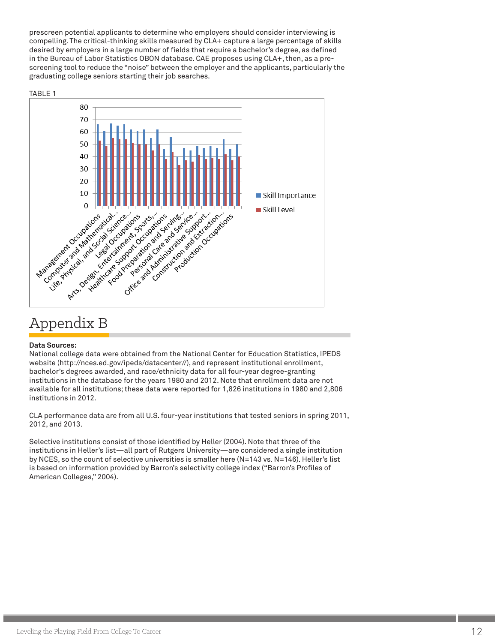prescreen potential applicants to determine who employers should consider interviewing is compelling. The critical-thinking skills measured by CLA+ capture a large percentage of skills desired by employers in a large number of fields that require a bachelor's degree, as defined in the Bureau of Labor Statistics OBON database. CAE proposes using CLA+, then, as a prescreening tool to reduce the "noise" between the employer and the applicants, particularly the graduating college seniors starting their job searches.



### Appendix B

#### **Data Sources:**

National college data were obtained from the National Center for Education Statistics, IPEDS website (http://nces.ed.gov/ipeds/datacenter//), and represent institutional enrollment, bachelor's degrees awarded, and race/ethnicity data for all four-year degree-granting institutions in the database for the years 1980 and 2012. Note that enrollment data are not available for all institutions; these data were reported for 1,826 institutions in 1980 and 2,806 institutions in 2012.

CLA performance data are from all U.S. four-year institutions that tested seniors in spring 2011, 2012, and 2013.

Selective institutions consist of those identified by Heller (2004). Note that three of the institutions in Heller's list—all part of Rutgers University—are considered a single institution by NCES, so the count of selective universities is smaller here (N=143 vs. N=146). Heller's list is based on information provided by Barron's selectivity college index ("Barron's Profiles of American Colleges," 2004).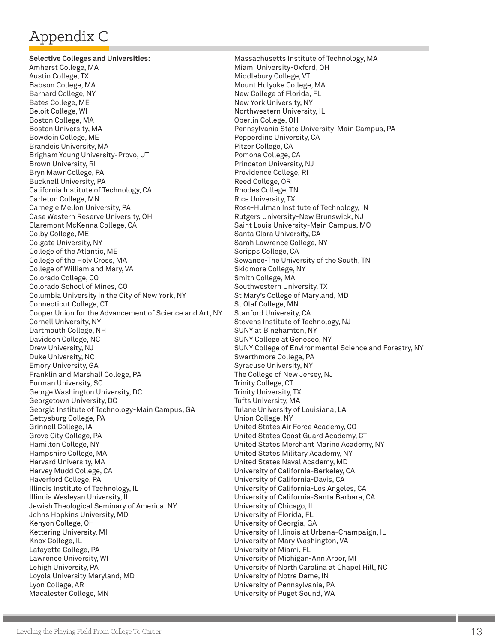# Appendix C

**Selective Colleges and Universities:** Amherst College, MA Austin College, TX Babson College, MA Barnard College, NY Bates College, ME Beloit College, WI Boston College, MA Boston University, MA Bowdoin College, ME Brandeis University, MA Brigham Young University-Provo, UT Brown University, RI Bryn Mawr College, PA Bucknell University, PA California Institute of Technology, CA Carleton College, MN Carnegie Mellon University, PA Case Western Reserve University, OH Claremont McKenna College, CA Colby College, ME Colgate University, NY College of the Atlantic, ME College of the Holy Cross, MA College of William and Mary, VA Colorado College, CO Colorado School of Mines, CO Columbia University in the City of New York, NY Connecticut College, CT Cooper Union for the Advancement of Science and Art, NY Cornell University, NY Dartmouth College, NH Davidson College, NC Drew University, NJ Duke University, NC Emory University, GA Franklin and Marshall College, PA Furman University, SC George Washington University, DC Georgetown University, DC Georgia Institute of Technology-Main Campus, GA Gettysburg College, PA Grinnell College, IA Grove City College, PA Hamilton College, NY Hampshire College, MA Harvard University, MA Harvey Mudd College, CA Haverford College, PA Illinois Institute of Technology, IL Illinois Wesleyan University, IL Jewish Theological Seminary of America, NY Johns Hopkins University, MD Kenyon College, OH Kettering University, MI Knox College, IL Lafayette College, PA Lawrence University, WI Lehigh University, PA Loyola University Maryland, MD Lyon College, AR Macalester College, MN

Massachusetts Institute of Technology, MA Miami University-Oxford, OH Middlebury College, VT Mount Holyoke College, MA New College of Florida, FL New York University, NY Northwestern University, IL Oberlin College, OH Pennsylvania State University-Main Campus, PA Pepperdine University, CA Pitzer College, CA Pomona College, CA Princeton University, NJ Providence College, RI Reed College, OR Rhodes College, TN Rice University, TX Rose-Hulman Institute of Technology, IN Rutgers University-New Brunswick, NJ Saint Louis University-Main Campus, MO Santa Clara University, CA Sarah Lawrence College, NY Scripps College, CA Sewanee-The University of the South, TN Skidmore College, NY Smith College, MA Southwestern University, TX St Mary's College of Maryland, MD St Olaf College, MN Stanford University, CA Stevens Institute of Technology, NJ SUNY at Binghamton, NY SUNY College at Geneseo, NY SUNY College of Environmental Science and Forestry, NY Swarthmore College, PA Syracuse University, NY The College of New Jersey, NJ Trinity College, CT Trinity University, TX Tufts University, MA Tulane University of Louisiana, LA Union College, NY United States Air Force Academy, CO United States Coast Guard Academy, CT United States Merchant Marine Academy, NY United States Military Academy, NY United States Naval Academy, MD University of California-Berkeley, CA University of California-Davis, CA University of California-Los Angeles, CA University of California-Santa Barbara, CA University of Chicago, IL University of Florida, FL University of Georgia, GA University of Illinois at Urbana-Champaign, IL University of Mary Washington, VA University of Miami, FL University of Michigan-Ann Arbor, MI University of North Carolina at Chapel Hill, NC University of Notre Dame, IN University of Pennsylvania, PA University of Puget Sound, WA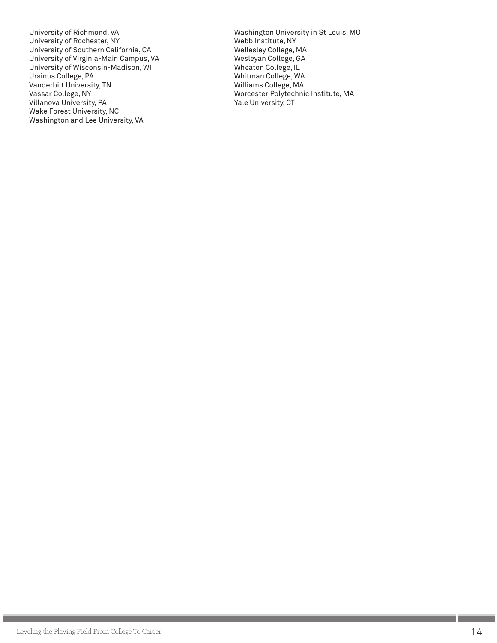University of Richmond, VA University of Rochester, NY University of Southern California, CA University of Virginia-Main Campus, VA University of Wisconsin-Madison, WI Ursinus College, PA Vanderbilt University, TN Vassar College, NY Villanova University, PA Wake Forest University, NC Washington and Lee University, VA

Washington University in St Louis, MO Webb Institute, NY Wellesley College, MA Wesleyan College, GA Wheaton College, IL Whitman College, WA Williams College, MA Worcester Polytechnic Institute, MA Yale University, CT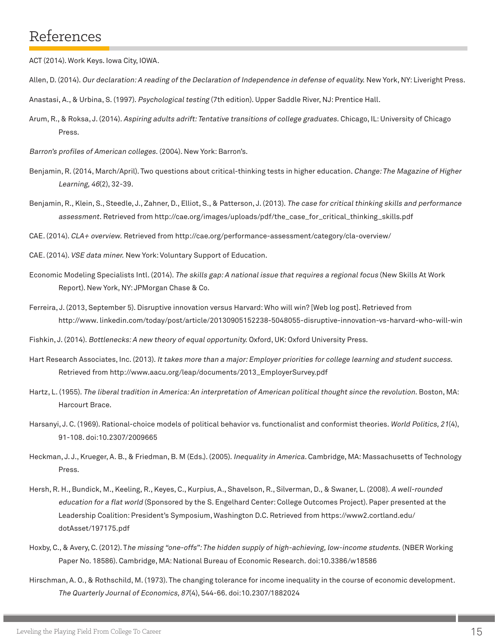### References

ACT (2014). Work Keys. Iowa City, IOWA.

- Allen, D. (2014). Our declaration: A reading of the Declaration of Independence in defense of equality. New York, NY: Liveright Press.
- Anastasi, A., & Urbina, S. (1997). Psychological testing (7th edition). Upper Saddle River, NJ: Prentice Hall.
- Arum, R., & Roksa, J. (2014). Aspiring adults adrift: Tentative transitions of college graduates. Chicago, IL: University of Chicago Press.
- Barron's profiles of American colleges. (2004). New York: Barron's.
- Benjamin, R. (2014, March/April). Two questions about critical-thinking tests in higher education. Change: The Magazine of Higher Learning, 46(2), 32-39.
- Benjamin, R., Klein, S., Steedle, J., Zahner, D., Elliot, S., & Patterson, J. (2013). The case for critical thinking skills and performance assessment. Retrieved from http://cae.org/images/uploads/pdf/the\_case\_for\_critical\_thinking\_skills.pdf

CAE. (2014). CLA+ overview. Retrieved from http://cae.org/performance-assessment/category/cla-overview/

- CAE. (2014). VSE data miner. New York: Voluntary Support of Education.
- Economic Modeling Specialists Intl. (2014). The skills gap: A national issue that requires a regional focus (New Skills At Work Report). New York, NY: JPMorgan Chase & Co.
- Ferreira, J. (2013, September 5). Disruptive innovation versus Harvard: Who will win? [Web log post]. Retrieved from http://www. linkedin.com/today/post/article/20130905152238-5048055-disruptive-innovation-vs-harvard-who-will-win

Fishkin, J. (2014). Bottlenecks: A new theory of equal opportunity. Oxford, UK: Oxford University Press.

- Hart Research Associates, Inc. (2013). It takes more than a major: Employer priorities for college learning and student success. Retrieved from http://www.aacu.org/leap/documents/2013\_EmployerSurvey.pdf
- Hartz, L. (1955). The liberal tradition in America: An interpretation of American political thought since the revolution. Boston, MA: Harcourt Brace.
- Harsanyi, J. C. (1969). Rational-choice models of political behavior vs. functionalist and conformist theories. World Politics, 21(4), 91-108. doi:10.2307/2009665
- Heckman, J. J., Krueger, A. B., & Friedman, B. M (Eds.). (2005). Inequality in America. Cambridge, MA: Massachusetts of Technology Press.
- Hersh, R. H., Bundick, M., Keeling, R., Keyes, C., Kurpius, A., Shavelson, R., Silverman, D., & Swaner, L. (2008). A well-rounded education for a flat world (Sponsored by the S. Engelhard Center: College Outcomes Project). Paper presented at the Leadership Coalition: President's Symposium, Washington D.C. Retrieved from https://www2.cortland.edu/ dotAsset/197175.pdf
- Hoxby, C., & Avery, C. (2012). The missing "one-offs": The hidden supply of high-achieving, low-income students. (NBER Working Paper No. 18586). Cambridge, MA: National Bureau of Economic Research. doi:10.3386/w18586
- Hirschman, A. O., & Rothschild, M. (1973). The changing tolerance for income inequality in the course of economic development. The Quarterly Journal of Economics, 87(4), 544-66. doi:10.2307/1882024